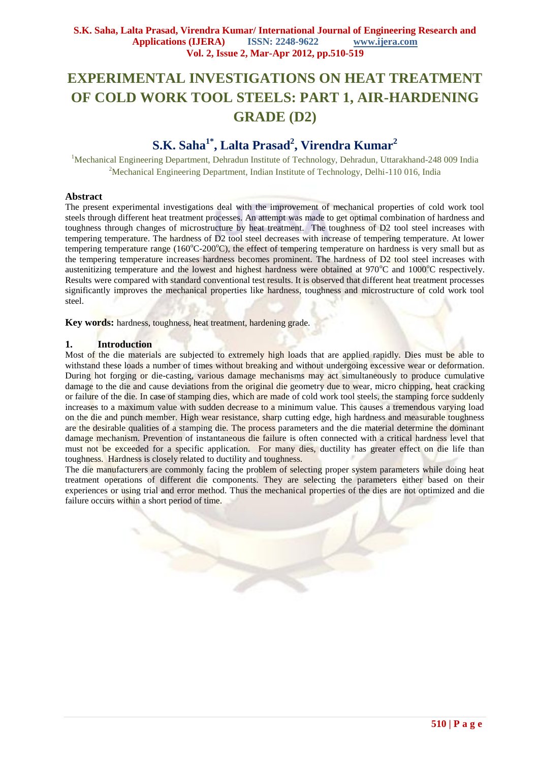# **EXPERIMENTAL INVESTIGATIONS ON HEAT TREATMENT OF COLD WORK TOOL STEELS: PART 1, AIR-HARDENING GRADE (D2)**

# **S.K. Saha1\*, Lalta Prasad<sup>2</sup> , Virendra Kumar<sup>2</sup>**

<sup>1</sup>Mechanical Engineering Department, Dehradun Institute of Technology, Dehradun, Uttarakhand-248 009 India <sup>2</sup>Mechanical Engineering Department, Indian Institute of Technology, Delhi-110 016, India

## **Abstract**

The present experimental investigations deal with the improvement of mechanical properties of cold work tool steels through different heat treatment processes. An attempt was made to get optimal combination of hardness and toughness through changes of microstructure by heat treatment. The toughness of D2 tool steel increases with tempering temperature. The hardness of D2 tool steel decreases with increase of tempering temperature. At lower tempering temperature range ( $160^{\circ}C-200^{\circ}C$ ), the effect of tempering temperature on hardness is very small but as the tempering temperature increases hardness becomes prominent. The hardness of D2 tool steel increases with austenitizing temperature and the lowest and highest hardness were obtained at  $970^{\circ}$ C and  $1000^{\circ}$ C respectively. Results were compared with standard conventional test results. It is observed that different heat treatment processes significantly improves the mechanical properties like hardness, toughness and microstructure of cold work tool steel.

**Key words:** hardness, toughness, heat treatment, hardening grade.

#### **1. Introduction**

Most of the die materials are subjected to extremely high loads that are applied rapidly. Dies must be able to withstand these loads a number of times without breaking and without undergoing excessive wear or deformation. During hot forging or die-casting, various damage mechanisms may act simultaneously to produce cumulative damage to the die and cause deviations from the original die geometry due to wear, micro chipping, heat cracking or failure of the die. In case of stamping dies, which are made of cold work tool steels, the stamping force suddenly increases to a maximum value with sudden decrease to a minimum value. This causes a tremendous varying load on the die and punch member. High wear resistance, sharp cutting edge, high hardness and measurable toughness are the desirable qualities of a stamping die. The process parameters and the die material determine the dominant damage mechanism. Prevention of instantaneous die failure is often connected with a critical hardness level that must not be exceeded for a specific application. For many dies, ductility has greater effect on die life than toughness. Hardness is closely related to ductility and toughness.

The die manufacturers are commonly facing the problem of selecting proper system parameters while doing heat treatment operations of different die components. They are selecting the parameters either based on their experiences or using trial and error method. Thus the mechanical properties of the dies are not optimized and die failure occurs within a short period of time.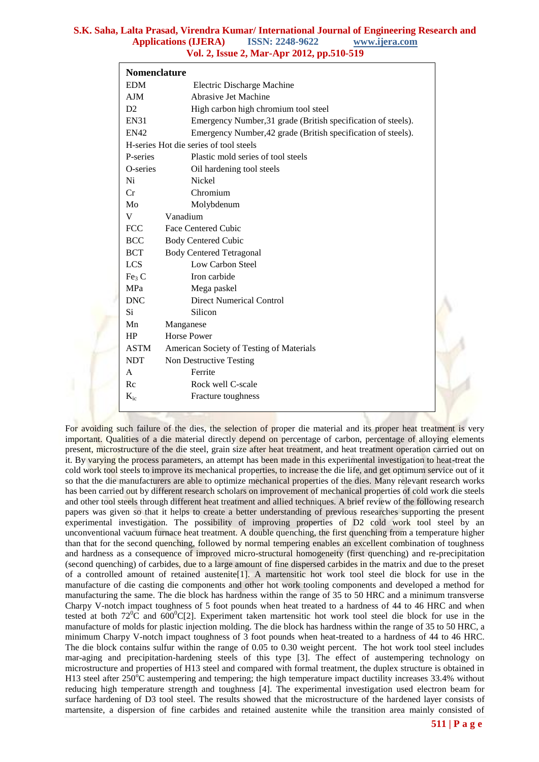| <b>Nomenclature</b> |                                                               |  |  |  |  |  |
|---------------------|---------------------------------------------------------------|--|--|--|--|--|
| <b>EDM</b>          | Electric Discharge Machine                                    |  |  |  |  |  |
| AJM                 | <b>Abrasive Jet Machine</b>                                   |  |  |  |  |  |
| D2                  | High carbon high chromium tool steel                          |  |  |  |  |  |
| <b>EN31</b>         | Emergency Number, 31 grade (British specification of steels). |  |  |  |  |  |
| <b>EN42</b>         | Emergency Number, 42 grade (British specification of steels). |  |  |  |  |  |
|                     | H-series Hot die series of tool steels                        |  |  |  |  |  |
| P-series            | Plastic mold series of tool steels                            |  |  |  |  |  |
| O-series            | Oil hardening tool steels                                     |  |  |  |  |  |
| Ni                  | <b>Nickel</b>                                                 |  |  |  |  |  |
| Cr                  | Chromium                                                      |  |  |  |  |  |
| Mo                  | Molybdenum                                                    |  |  |  |  |  |
| V                   | Vanadium                                                      |  |  |  |  |  |
| <b>FCC</b>          | <b>Face Centered Cubic</b>                                    |  |  |  |  |  |
| <b>BCC</b>          | <b>Body Centered Cubic</b>                                    |  |  |  |  |  |
| <b>BCT</b>          | <b>Body Centered Tetragonal</b>                               |  |  |  |  |  |
| <b>LCS</b>          | Low Carbon Steel                                              |  |  |  |  |  |
| Fe <sub>3</sub> C   | Iron carbide                                                  |  |  |  |  |  |
| <b>MPa</b>          | Mega paskel                                                   |  |  |  |  |  |
| <b>DNC</b>          | <b>Direct Numerical Control</b>                               |  |  |  |  |  |
| Si                  | Silicon                                                       |  |  |  |  |  |
| Mn                  | Manganese                                                     |  |  |  |  |  |
| HP                  | <b>Horse Power</b>                                            |  |  |  |  |  |
| <b>ASTM</b>         | American Society of Testing of Materials                      |  |  |  |  |  |
| <b>NDT</b>          | Non Destructive Testing                                       |  |  |  |  |  |
| $\mathsf{A}$        | Ferrite                                                       |  |  |  |  |  |
| Rc                  | Rock well C-scale                                             |  |  |  |  |  |
| $K_{ic}$            | Fracture toughness                                            |  |  |  |  |  |

For avoiding such failure of the dies, the selection of proper die material and its proper heat treatment is very important. Qualities of a die material directly depend on percentage of carbon, percentage of alloying elements present, microstructure of the die steel, grain size after heat treatment, and heat treatment operation carried out on it. By varying the process parameters, an attempt has been made in this experimental investigation to heat-treat the cold work tool steels to improve its mechanical properties, to increase the die life, and get optimum service out of it so that the die manufacturers are able to optimize mechanical properties of the dies. Many relevant research works has been carried out by different research scholars on improvement of mechanical properties of cold work die steels and other tool steels through different heat treatment and allied techniques. A brief review of the following research papers was given so that it helps to create a better understanding of previous researches supporting the present experimental investigation. The possibility of improving properties of D2 cold work tool steel by an unconventional vacuum furnace heat treatment. A double quenching, the first quenching from a temperature higher than that for the second quenching, followed by normal tempering enables an excellent combination of toughness and hardness as a consequence of improved micro-structural homogeneity (first quenching) and re-precipitation (second quenching) of carbides, due to a large amount of fine dispersed carbides in the matrix and due to the preset of a controlled amount of retained austenite[1]. A martensitic hot work tool steel die block for use in the manufacture of die casting die components and other hot work tooling components and developed a method for manufacturing the same. The die block has hardness within the range of 35 to 50 HRC and a minimum transverse Charpy V-notch impact toughness of 5 foot pounds when heat treated to a hardness of 44 to 46 HRC and when tested at both  $72^{\circ}$ C and  $600^{\circ}$ C[2]. Experiment taken martensitic hot work tool steel die block for use in the manufacture of molds for plastic injection molding. The die block has hardness within the range of 35 to 50 HRC, a minimum Charpy V-notch impact toughness of 3 foot pounds when heat-treated to a hardness of 44 to 46 HRC. The die block contains sulfur within the range of 0.05 to 0.30 weight percent. The hot work tool steel includes mar-aging and precipitation-hardening steels of this type [3]. The effect of austempering technology on microstructure and properties of H13 steel and compared with formal treatment, the duplex structure is obtained in H13 steel after  $250^{\circ}$ C austempering and tempering; the high temperature impact ductility increases 33.4% without reducing high temperature strength and toughness [4]. The experimental investigation used electron beam for surface hardening of D3 tool steel. The results showed that the microstructure of the hardened layer consists of martensite, a dispersion of fine carbides and retained austenite while the transition area mainly consisted of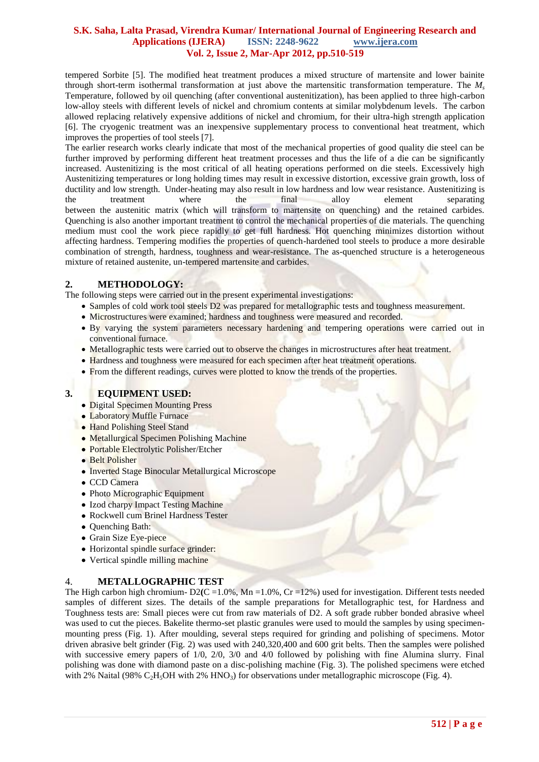tempered Sorbite [5]. The modified heat treatment produces a mixed structure of martensite and lower bainite through short-term isothermal transformation at just above the martensitic transformation temperature. The *M<sup>s</sup>* Temperature, followed by oil quenching (after conventional austenitization), has been applied to three high-carbon low-alloy steels with different levels of nickel and chromium contents at similar molybdenum levels. The carbon allowed replacing relatively expensive additions of nickel and chromium, for their ultra-high strength application [6]. The cryogenic treatment was an inexpensive supplementary process to conventional heat treatment, which improves the properties of tool steels [7].

The earlier research works clearly indicate that most of the mechanical properties of good quality die steel can be further improved by performing different heat treatment processes and thus the life of a die can be significantly increased. Austenitizing is the most critical of all heating operations performed on die steels. Excessively high Austenitizing temperatures or long holding times may result in excessive distortion, excessive grain growth, loss of ductility and low strength. Under-heating may also result in low hardness and low wear resistance. Austenitizing is the treatment where the final alloy element separating between the austenitic matrix (which will transform to martensite on quenching) and the retained carbides. Quenching is also another important treatment to control the mechanical properties of die materials. The quenching medium must cool the work piece rapidly to get full hardness. Hot quenching minimizes distortion without affecting hardness. Tempering modifies the properties of quench-hardened tool steels to produce a more desirable combination of strength, hardness, toughness and wear-resistance. The as-quenched structure is a heterogeneous mixture of retained austenite, un-tempered martensite and carbides.

# **2. METHODOLOGY:**

The following steps were carried out in the present experimental investigations:

- Samples of cold work tool steels D2 was prepared for metallographic tests and toughness measurement.
- Microstructures were examined; hardness and toughness were measured and recorded.
- By varying the system parameters necessary hardening and tempering operations were carried out in conventional furnace.
- Metallographic tests were carried out to observe the changes in microstructures after heat treatment.
- Hardness and toughness were measured for each specimen after heat treatment operations.
- From the different readings, curves were plotted to know the trends of the properties.

# **3. EQUIPMENT USED:**

- Digital Specimen Mounting Press
- Laboratory Muffle Furnace
- Hand Polishing Steel Stand
- Metallurgical Specimen Polishing Machine
- Portable Electrolytic Polisher/Etcher
- **Belt Polisher**
- Inverted Stage Binocular Metallurgical Microscope
- CCD Camera
- Photo Micrographic Equipment
- Izod charpy Impact Testing Machine
- Rockwell cum Brinel Hardness Tester
- Quenching Bath:
- Grain Size Eye-piece
- Horizontal spindle surface grinder:
- Vertical spindle milling machine

#### 4. **METALLOGRAPHIC TEST**

The High carbon high chromium-  $D2(C=1.0\%$ , Mn =1.0%, Cr =12%) used for investigation. Different tests needed samples of different sizes. The details of the sample preparations for Metallographic test, for Hardness and Toughness tests are: Small pieces were cut from raw materials of D2. A soft grade rubber bonded abrasive wheel was used to cut the pieces. Bakelite thermo-set plastic granules were used to mould the samples by using specimenmounting press (Fig. 1). After moulding, several steps required for grinding and polishing of specimens. Motor driven abrasive belt grinder (Fig. 2) was used with 240,320,400 and 600 grit belts. Then the samples were polished with successive emery papers of 1/0, 2/0, 3/0 and 4/0 followed by polishing with fine Alumina slurry. Final polishing was done with diamond paste on a disc-polishing machine (Fig. 3). The polished specimens were etched with 2% Naital (98% C<sub>2</sub>H<sub>3</sub>OH with 2% HNO<sub>3</sub>) for observations under metallographic microscope (Fig. 4).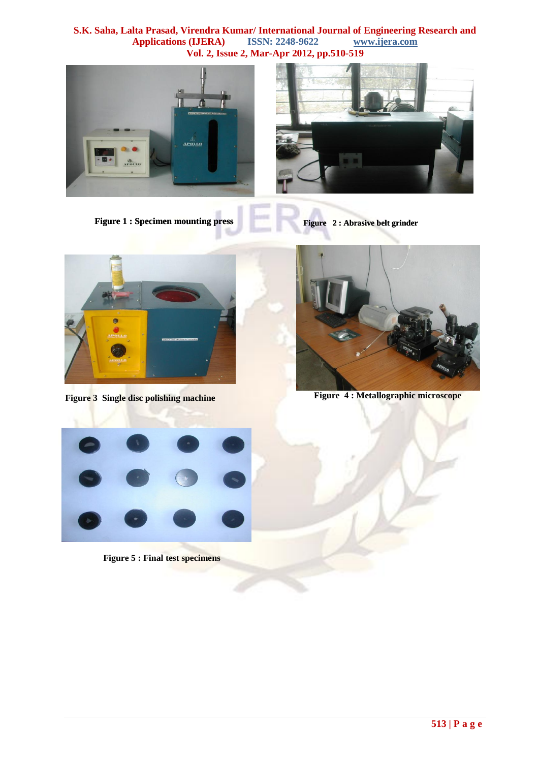





**Figure 2 : Abrasive belt grinder**



**Figure 3 Single disc polishing machine**



**Figure 4 : Metallographic microscope**



**Figure 5 : Final test specimens**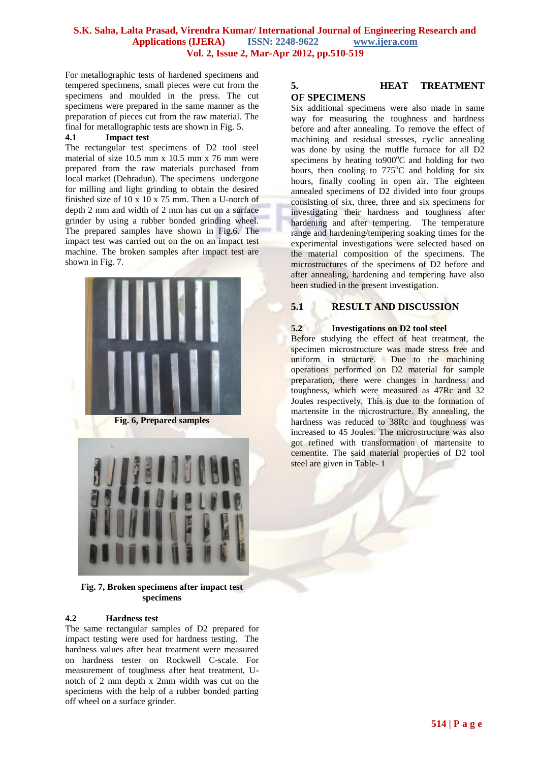For metallographic tests of hardened specimens and tempered specimens, small pieces were cut from the specimens and moulded in the press. The cut specimens were prepared in the same manner as the preparation of pieces cut from the raw material. The final for metallographic tests are shown in Fig. 5.

#### **4.1 Impact test**

The rectangular test specimens of D2 tool steel material of size 10.5 mm x 10.5 mm x 76 mm were prepared from the raw materials purchased from local market (Dehradun). The specimens undergone for milling and light grinding to obtain the desired finished size of 10 x 10 x 75 mm. Then a U-notch of depth 2 mm and width of 2 mm has cut on a surface grinder by using a rubber bonded grinding wheel. The prepared samples have shown in Fig.6. The impact test was carried out on the on an impact test machine. The broken samples after impact test are shown in Fig. 7.



**Fig. 6, Prepared samples**



**Fig. 7, Broken specimens after impact test specimens**

# **4.2 Hardness test**

The same rectangular samples of D2 prepared for impact testing were used for hardness testing. The hardness values after heat treatment were measured on hardness tester on Rockwell C-scale. For measurement of toughness after heat treatment, Unotch of 2 mm depth x 2mm width was cut on the specimens with the help of a rubber bonded parting off wheel on a surface grinder.

# **5. HEAT TREATMENT OF SPECIMENS**

Six additional specimens were also made in same way for measuring the toughness and hardness before and after annealing. To remove the effect of machining and residual stresses, cyclic annealing was done by using the muffle furnace for all D2 specimens by heating to $900^{\circ}$ C and holding for two hours, then cooling to  $775^{\circ}$ C and holding for six hours, finally cooling in open air. The eighteen annealed specimens of D2 divided into four groups consisting of six, three, three and six specimens for investigating their hardness and toughness after hardening and after tempering. The temperature range and hardening/tempering soaking times for the experimental investigations were selected based on the material composition of the specimens. The microstructures of the specimens of D2 before and after annealing, hardening and tempering have also been studied in the present investigation.

# **5.1 RESULT AND DISCUSSION**

## **5.2 Investigations on D2 tool steel**

Before studying the effect of heat treatment, the specimen microstructure was made stress free and uniform in structure. Due to the machining operations performed on D2 material for sample preparation, there were changes in hardness and toughness, which were measured as 47Rc and 32 Joules respectively. This is due to the formation of martensite in the microstructure. By annealing, the hardness was reduced to 38Rc and toughness was increased to 45 Joules. The microstructure was also got refined with transformation of martensite to cementite. The said material properties of D2 tool steel are given in Table- 1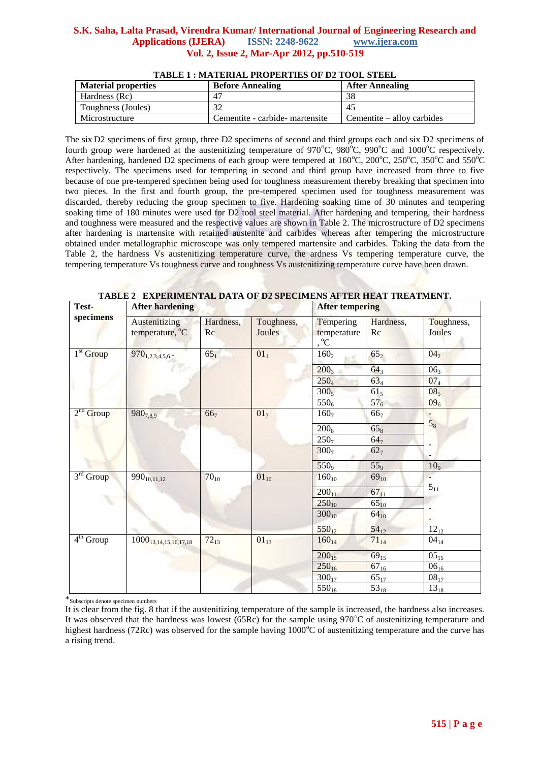| <b>Material properties</b> | <b>Before Annealing</b>         | <b>After Annealing</b>     |
|----------------------------|---------------------------------|----------------------------|
| Hardness (Rc)              | $4^{\circ}$                     | 38                         |
| Toughness (Joules)         | 32                              | $4^{\circ}$                |
| Microstructure             | Cementite - carbide- martensite | Cementite – alloy carbides |

# **TABLE 1 : MATERIAL PROPERTIES OF D2 TOOL STEEL**

The six D2 specimens of first group, three D2 specimens of second and third groups each and six D2 specimens of fourth group were hardened at the austenitizing temperature of 970 $^{\circ}$ C, 980 $^{\circ}$ C, 990 $^{\circ}$ C and 1000 $^{\circ}$ C respectively. After hardening, hardened D2 specimens of each group were tempered at  $160^{\circ}$ C,  $200^{\circ}$ C,  $250^{\circ}$ C,  $350^{\circ}$ C and  $550^{\circ}$ C respectively. The specimens used for tempering in second and third group have increased from three to five because of one pre-tempered specimen being used for toughness measurement thereby breaking that specimen into two pieces. In the first and fourth group, the pre-tempered specimen used for toughness measurement was discarded, thereby reducing the group specimen to five. Hardening soaking time of 30 minutes and tempering soaking time of 180 minutes were used for D2 tool steel material. After hardening and tempering, their hardness and toughness were measured and the respective values are shown in Table 2. The microstructure of D2 specimens after hardening is martensite with retained austenite and carbides whereas after tempering the microstructure obtained under metallographic microscope was only tempered martensite and carbides. Taking the data from the Table 2, the hardness Vs austenitizing temperature curve, the ardness Vs tempering temperature curve, the tempering temperature Vs toughness curve and toughness Vs austenitizing temperature curve have been drawn.

**TABLE 2 EXPERIMENTAL DATA OF D2 SPECIMENS AFTER HEAT TREATMENT.**

| Test-<br>specimens | <b>After hardening</b>           |                 |                      | <b>After tempering</b>                    |                 |                      |
|--------------------|----------------------------------|-----------------|----------------------|-------------------------------------------|-----------------|----------------------|
|                    | Austenitizing<br>temperature, °C | Hardness,<br>Rc | Toughness,<br>Joules | Tempering<br>temperature<br>, $^{\circ}C$ | Hardness,<br>Rc | Toughness,<br>Joules |
| $1st$ Group        | 970 <sub>1,2,3,4,5,6.*</sub>     | $65_1$          | 01 <sub>1</sub>      | 160 <sub>2</sub>                          | $65_{2}$        | 04 <sub>2</sub>      |
|                    | œ                                |                 |                      | $200_3$                                   | $64_3$          | 06 <sub>3</sub>      |
|                    |                                  |                 |                      | $250_4$                                   | $63_4$          | 07 <sub>4</sub>      |
|                    |                                  |                 |                      | $300_5$                                   | 61 <sub>5</sub> | 08 <sub>5</sub>      |
|                    |                                  |                 |                      | $550_6$                                   | 57 <sub>6</sub> | 09 <sub>6</sub>      |
| $2nd$ Group        | $980_{7,8,9}$                    | 66 <sub>7</sub> | 01 <sub>7</sub>      | 160 <sub>7</sub>                          | 66 <sub>7</sub> |                      |
|                    |                                  |                 |                      | $200_8$                                   | 65 <sub>8</sub> | 5 <sub>8</sub>       |
|                    |                                  |                 |                      | 250 <sub>7</sub>                          | 64 <sub>7</sub> |                      |
|                    |                                  |                 |                      | 300 <sub>7</sub>                          | 62 <sub>7</sub> |                      |
|                    |                                  |                 |                      | 550 <sub>9</sub>                          | 55 <sub>9</sub> | 10 <sub>9</sub>      |
| $3rd$ Group        | $990_{10,11,12}$                 | $70_{10}$       | $01_{10}$            | $160_{10}$                                | $69_{10}$       |                      |
|                    |                                  |                 |                      | $200_{11}$                                | $67_{11}$       | $5_{11}$             |
|                    |                                  |                 |                      | $250_{10}$                                | $65_{10}$       |                      |
|                    |                                  |                 |                      | $300_{10}$                                | $64_{10}$       |                      |
|                    |                                  |                 |                      | $550_{12}$                                | $54_{12}$       | $12_{12}$            |
| $4th$ Group        | $1000_{13,14,15,16,17,18}$       | $72_{13}$       | $01_{13}$            | $160_{14}$                                | $71_{14}$       | $04_{14}$            |
|                    |                                  |                 |                      | $200_{15}$                                | $69_{15}$       | $05_{15}$            |
|                    |                                  |                 |                      | $250_{16}$                                | $67_{16}$       | $06_{16}$            |
|                    |                                  |                 |                      | $300_{17}$                                | $65_{17}$       | $08_{17}$            |
|                    |                                  |                 |                      | $550_{18}$                                | $53_{18}$       | $13_{18}$            |

\*Subscripts denote specimen numbers

It is clear from the fig. 8 that if the austenitizing temperature of the sample is increased, the hardness also increases. It was observed that the hardness was lowest (65Rc) for the sample using  $970^{\circ}$ C of austenitizing temperature and highest hardness (72Rc) was observed for the sample having  $1000^{\circ}$ C of austenitizing temperature and the curve has a rising trend.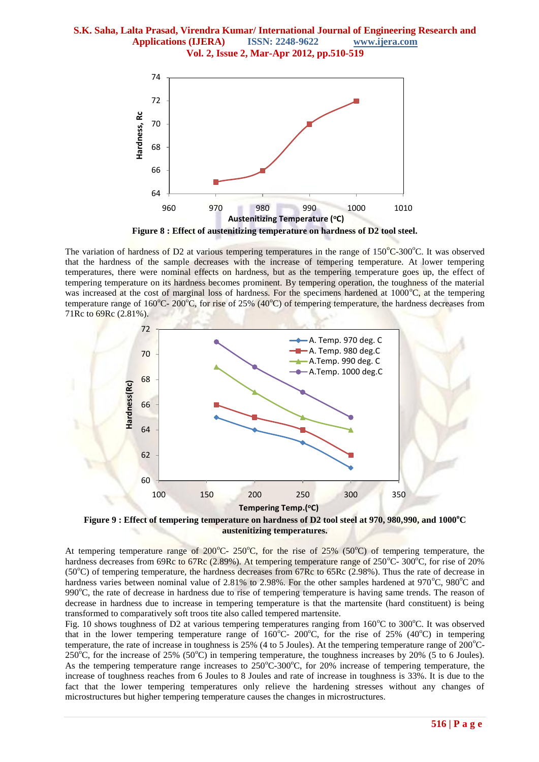

**Figure 8 : Effect of austenitizing temperature on hardness of D2 tool steel.**

The variation of hardness of D2 at various tempering temperatures in the range of  $150^{\circ}$ C-300<sup>o</sup>C. It was observed that the hardness of the sample decreases with the increase of tempering temperature. At lower tempering temperatures, there were nominal effects on hardness, but as the tempering temperature goes up, the effect of tempering temperature on its hardness becomes prominent. By tempering operation, the toughness of the material was increased at the cost of marginal loss of hardness. For the specimens hardened at  $1000^{\circ}$ C, at the tempering temperature range of  $160^{\circ}$ C- 200<sup>°</sup>C, for rise of 25% (40<sup>°</sup>C) of tempering temperature, the hardness decreases from 71Rc to 69Rc (2.81%).





At tempering temperature range of 200°C- 250°C, for the rise of 25% (50°C) of tempering temperature, the hardness decreases from 69Rc to 67Rc (2.89%). At tempering temperature range of  $250^{\circ}$ C- 300<sup>o</sup>C, for rise of 20%  $(50^{\circ}$ C) of tempering temperature, the hardness decreases from 67Rc to 65Rc (2.98%). Thus the rate of decrease in hardness varies between nominal value of  $2.81\%$  to  $2.98\%$ . For the other samples hardened at 970 $^{\circ}$ C, 980 $^{\circ}$ C and 990°C, the rate of decrease in hardness due to rise of tempering temperature is having same trends. The reason of decrease in hardness due to increase in tempering temperature is that the martensite (hard constituent) is being transformed to comparatively soft troos tite also called tempered martensite.

Fig. 10 shows toughness of D2 at various tempering temperatures ranging from  $160^{\circ}$ C to  $300^{\circ}$ C. It was observed that in the lower tempering temperature range of  $160^{\circ}$ C- 200<sup>o</sup>C, for the rise of 25% (40<sup>o</sup>C) in tempering temperature, the rate of increase in toughness is  $25\%$  (4 to 5 Joules). At the tempering temperature range of  $200\degree$ C-250<sup>o</sup>C, for the increase of 25% (50<sup>o</sup>C) in tempering temperature, the toughness increases by 20% (5 to 6 Joules). As the tempering temperature range increases to  $250^{\circ}$ C-300<sup>o</sup>C, for 20% increase of tempering temperature, the increase of toughness reaches from 6 Joules to 8 Joules and rate of increase in toughness is 33%. It is due to the fact that the lower tempering temperatures only relieve the hardening stresses without any changes of microstructures but higher tempering temperature causes the changes in microstructures.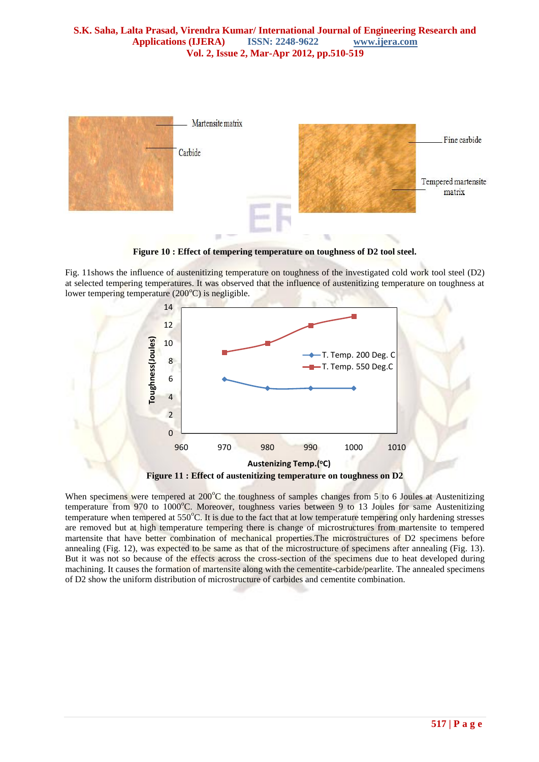

**Figure 10 : Effect of tempering temperature on toughness of D2 tool steel.**

Fig. 11shows the influence of austenitizing temperature on toughness of the investigated cold work tool steel (D2) at selected tempering temperatures. It was observed that the influence of austenitizing temperature on toughness at lower tempering temperature  $(200^{\circ}C)$  is negligible.



When specimens were tempered at  $200^{\circ}$ C the toughness of samples changes from 5 to 6 Joules at Austenitizing temperature from 970 to 1000°C. Moreover, toughness varies between 9 to 13 Joules for same Austenitizing temperature when tempered at 550°C. It is due to the fact that at low temperature tempering only hardening stresses are removed but at high temperature tempering there is change of microstructures from martensite to tempered martensite that have better combination of mechanical properties.The microstructures of D2 specimens before annealing (Fig. 12), was expected to be same as that of the microstructure of specimens after annealing (Fig. 13). But it was not so because of the effects across the cross-section of the specimens due to heat developed during machining. It causes the formation of martensite along with the cementite-carbide/pearlite. The annealed specimens of D2 show the uniform distribution of microstructure of carbides and cementite combination.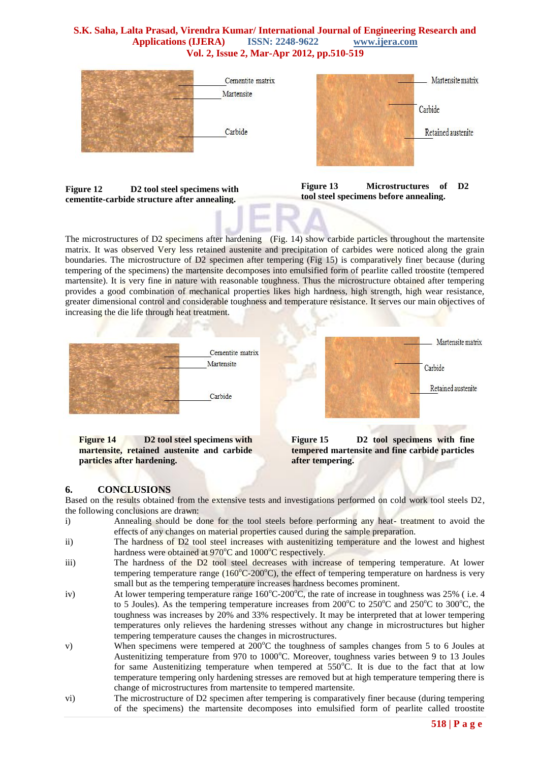

**Figure 12 D2 tool steel specimens with cementite-carbide structure after annealing.**



The microstructures of D2 specimens after hardening (Fig. 14) show carbide particles throughout the martensite matrix. It was observed Very less retained austenite and precipitation of carbides were noticed along the grain boundaries. The microstructure of D2 specimen after tempering (Fig 15) is comparatively finer because (during tempering of the specimens) the martensite decomposes into emulsified form of pearlite called troostite (tempered martensite). It is very fine in nature with reasonable toughness. Thus the microstructure obtained after tempering provides a good combination of mechanical properties likes high hardness, high strength, high wear resistance, greater dimensional control and considerable toughness and temperature resistance. It serves our main objectives of increasing the die life through heat treatment.



**martensite, retained austenite and carbide particles after hardening.**

**tempered martensite and fine carbide particles after tempering.**

# **6. CONCLUSIONS**

Based on the results obtained from the extensive tests and investigations performed on cold work tool steels D2, the following conclusions are drawn:

- i) Annealing should be done for the tool steels before performing any heat- treatment to avoid the effects of any changes on material properties caused during the sample preparation.
- ii) The hardness of D2 tool steel increases with austenitizing temperature and the lowest and highest hardness were obtained at 970°C and 1000°C respectively.
- iii) The hardness of the D2 tool steel decreases with increase of tempering temperature. At lower tempering temperature range  $(160^{\circ}C \cdot 200^{\circ}C)$ , the effect of tempering temperature on hardness is very small but as the tempering temperature increases hardness becomes prominent.
- iv) At lower tempering temperature range  $160^{\circ}C \cdot 200^{\circ}C$ , the rate of increase in toughness was 25% (i.e. 4 to 5 Joules). As the tempering temperature increases from  $200^{\circ}$ C to  $250^{\circ}$ C and  $250^{\circ}$ C to  $300^{\circ}$ C, the toughness was increases by 20% and 33% respectively. It may be interpreted that at lower tempering temperatures only relieves the hardening stresses without any change in microstructures but higher tempering temperature causes the changes in microstructures.
- v) When specimens were tempered at  $200^{\circ}$ C the toughness of samples changes from 5 to 6 Joules at Austenitizing temperature from 970 to 1000°C. Moreover, toughness varies between 9 to 13 Joules for same Austenitizing temperature when tempered at  $550^{\circ}$ C. It is due to the fact that at low temperature tempering only hardening stresses are removed but at high temperature tempering there is change of microstructures from martensite to tempered martensite.
- vi) The microstructure of D2 specimen after tempering is comparatively finer because (during tempering of the specimens) the martensite decomposes into emulsified form of pearlite called troostite